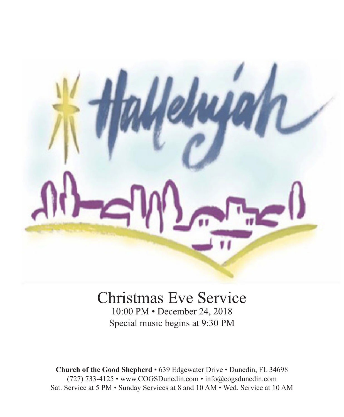

# Christmas Eve Service

10:00 PM • December 24, 2018 Special music begins at 9:30 PM

**Church of the Good Shepherd** • 639 Edgewater Drive • Dunedin, FL 34698 (727) 733-4125 • www.COGSDunedin.com • info@cogsdunedin.com Sat. Service at 5 PM • Sunday Services at 8 and 10 AM • Wed. Service at 10 AM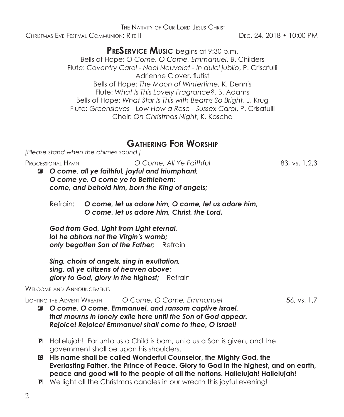### **PRESERVICE MUSIC** begins at 9:30 p.m.

Bells of Hope: *O Come, O Come, Emmanuel*, B. Childers Flute: *Coventry Carol - Noel Nouvelet - In dulci jubilo*, P. Crisafulli Adrienne Clover, flutist Bells of Hope: *The Moon of Wintertime,* K. Dennis Flute: *What Is This Lovely Fragrance?*, B. Adams Bells of Hope: *What Star Is This with Beams So Bright,* J. Krug Flute: *Greensleves - Low How a Rose - Sussex Carol*, P. Crisafulli Choir: *On Christmas Night*, K. Kosche

### **Gathering For Worship**

*[Please stand when the chimes sound.]*

| Processional Hymn                                               | O Come, All Ye Faithful                        | 83. vs. 1.2.3 |
|-----------------------------------------------------------------|------------------------------------------------|---------------|
| <b>Example 20 Come, all ye faithful, joyful and triumphant,</b> |                                                |               |
| O come ye, O come ye to Bethlehem;                              |                                                |               |
|                                                                 | come, and behold him, born the King of angels; |               |

Refrain: *O come, let us adore him, O come, let us adore him, O come, let us adore him, Christ, the Lord.*

 *God from God, Light from Light eternal, lo! he abhors not the Virgin's womb;* **only begotten Son of the Father;** Refrain

 *Sing, choirs of angels, sing in exultation, sing, all ye citizens of heaven above; glory to God, glory in the highest;* Refrain

WELCOME AND ANNOUNCEMENTS

Lighting the Advent Wreath *O Come, O Come, Emmanuel* 56, vs. 1,7

a *O come, O come, Emmanuel, and ransom captive Israel, that mourns in lonely exile here until the Son of God appear. Rejoice! Rejoice! Emmanuel shall come to thee, O Israel!*

- P Hallelujah! For unto us a Child is born, unto us a Son is given, and the government shall be upon his shoulders.
- C **His name shall be called Wonderful Counselor, the Mighty God, the Everlasting Father, the Prince of Peace. Glory to God in the highest, and on earth, peace and good will to the people of all the nations. Hallelujah! Hallelujah!**
- P We light all the Christmas candles in our wreath this joyful evening!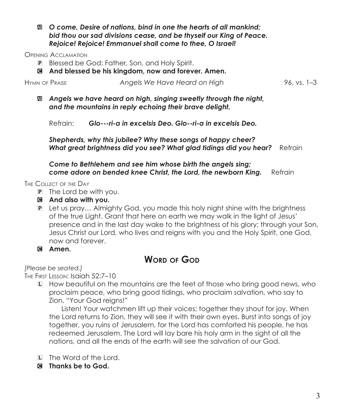#### a *O come, Desire of nations, bind in one the hearts of all mankind; bid thou our sad divisions cease, and be thyself our King of Peace. Rejoice! Rejoice! Emmanuel shall come to thee, O Israel!*

Opening Acclamation

P Blessed be God: Father, Son, and Holy Spirit.

C **And blessed be his kingdom, now and forever. Amen.**

Hymn of Praise *Angels We Have Heard on High* 96, vs. 1–3

a *Angels we have heard on high, singing sweetly through the night, and the mountains in reply echoing their brave delight.*

Refrain: *Glo---ri-a in excelsis Deo. Glo--ri-a in excelsis Deo.*

 *Shepherds, why this jubilee? Why these songs of happy cheer?*  What great brightness did you see? What glad tidings did you hear? Refrain

 *Come to Bethlehem and see him whose birth the angels sing; come adore on bended knee Christ, the Lord, the newborn King.* Refrain

THE COLLECT OF THE DAY

- P The Lord be with you.
- C **And also with you.**
- P Let us pray… Almighty God, you made this holy night shine with the brightness of the true Light. Grant that here on earth we may walk in the light of Jesus' presence and in the last day wake to the brightness of his glory; through your Son, Jesus Christ our Lord, who lives and reigns with you and the Holy Spirit, one God, now and forever.
- C **Amen.**

### **WORD OF GOD**

*[Please be seated.]*

The First Lesson: Isaiah 52:7–10

L How beautiful on the mountains are the feet of those who bring good news, who proclaim peace, who bring good tidings, who proclaim salvation, who say to Zion, "Your God reigns!"

 Listen! Your watchmen lift up their voices; together they shout for joy. When the Lord returns to Zion, they will see it with their own eyes. Burst into songs of joy together, you ruins of Jerusalem, for the Lord has comforted his people, he has redeemed Jerusalem. The Lord will lay bare his holy arm in the sight of all the nations, and all the ends of the earth will see the salvation of our God.

L The Word of the Lord.

C **Thanks be to God.**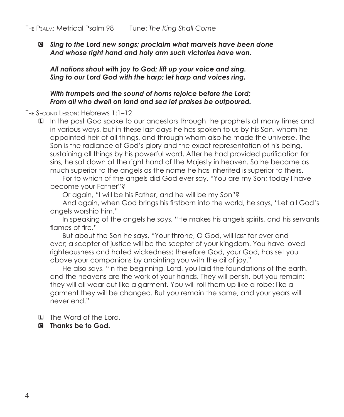C *Sing to the Lord new songs; proclaim what marvels have been done And whose right hand and holy arm such victories have won.*

 *All nations shout with joy to God; lift up your voice and sing. Sing to our Lord God with the harp; let harp and voices ring.*

#### *With trumpets and the sound of horns rejoice before the Lord; From all who dwell on land and sea let praises be outpoured.*

The Second Lesson: Hebrews 1:1–12

L In the past God spoke to our ancestors through the prophets at many times and in various ways, but in these last days he has spoken to us by his Son, whom he appointed heir of all things, and through whom also he made the universe. The Son is the radiance of God's glory and the exact representation of his being, sustaining all things by his powerful word. After he had provided purification for sins, he sat down at the right hand of the Majesty in heaven. So he became as much superior to the angels as the name he has inherited is superior to theirs.

 For to which of the angels did God ever say, "You are my Son; today I have become your Father"?

Or again, "I will be his Father, and he will be my Son"?

And again, when God brings his firstborn into the world, he says, "Let all God's angels worship him."

 In speaking of the angels he says, "He makes his angels spirits, and his servants flames of fire."

 But about the Son he says, "Your throne, O God, will last for ever and ever; a scepter of justice will be the scepter of your kingdom. You have loved righteousness and hated wickedness; therefore God, your God, has set you above your companions by anointing you with the oil of joy."

 He also says, "In the beginning, Lord, you laid the foundations of the earth, and the heavens are the work of your hands. They will perish, but you remain; they will all wear out like a garment. You will roll them up like a robe; like a garment they will be changed. But you remain the same, and your years will never end."

L The Word of the Lord.

C **Thanks be to God.**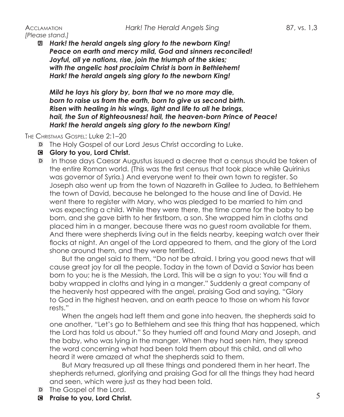a *Hark! the herald angels sing glory to the newborn King! Peace on earth and mercy mild, God and sinners reconciled! Joyful, all ye nations, rise, join the triumph of the skies; with the angelic host proclaim Christ is born in Bethlehem! Hark! the herald angels sing glory to the newborn King!*

*Mild he lays his glory by, born that we no more may die, born to raise us from the earth, born to give us second birth. Risen with healing in his wings, light and life to all he brings, hail, the Sun of Righteousness! hail, the heaven-born Prince of Peace! Hark! the herald angels sing glory to the newborn King!*

The Christmas Gospel: Luke 2:1–20

- D The Holy Gospel of our Lord Jesus Christ according to Luke.
- C **Glory to you, Lord Christ.**
- D In those days Caesar Augustus issued a decree that a census should be taken of the entire Roman world. (This was the first census that took place while Quirinius was governor of Syria.) And everyone went to their own town to register. So Joseph also went up from the town of Nazareth in Galilee to Judea, to Bethlehem the town of David, because he belonged to the house and line of David. He went there to register with Mary, who was pledged to be married to him and was expecting a child. While they were there, the time came for the baby to be born, and she gave birth to her firstborn, a son. She wrapped him in cloths and placed him in a manger, because there was no guest room available for them. And there were shepherds living out in the fields nearby, keeping watch over their flocks at night. An angel of the Lord appeared to them, and the glory of the Lord shone around them, and they were terrified.

 But the angel said to them, "Do not be afraid. I bring you good news that will cause great joy for all the people. Today in the town of David a Savior has been born to you; he is the Messiah, the Lord. This will be a sign to you: You will find a baby wrapped in cloths and lying in a manger." Suddenly a great company of the heavenly host appeared with the angel, praising God and saying, "Glory to God in the highest heaven, and on earth peace to those on whom his favor rests."

 When the angels had left them and gone into heaven, the shepherds said to one another, "Let's go to Bethlehem and see this thing that has happened, which the Lord has told us about." So they hurried off and found Mary and Joseph, and the baby, who was lying in the manger. When they had seen him, they spread the word concerning what had been told them about this child, and all who heard it were amazed at what the shepherds said to them.

 But Mary treasured up all these things and pondered them in her heart. The shepherds returned, glorifying and praising God for all the things they had heard and seen, which were just as they had been told.

- D The Gospel of the Lord.
- C **Praise to you, Lord Christ.**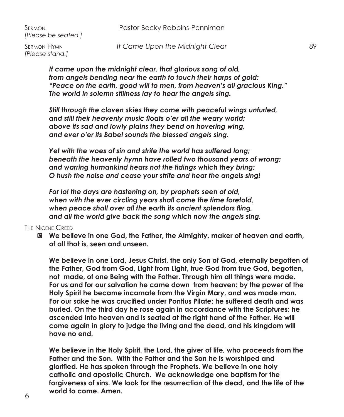*[Please be seated.]*

Sermon Hymn *It Came Upon the Midnight Clear* 89

*[Please stand.]*

*It came upon the midnight clear, that glorious song of old, from angels bending near the earth to touch their harps of gold: "Peace on the earth, good will to men, from heaven's all gracious King." The world in solemn stillness lay to hear the angels sing.*

*Still through the cloven skies they come with peaceful wings unfurled, and still their heavenly music floats o'er all the weary world; above its sad and lowly plains they bend on hovering wing, and ever o'er its Babel sounds the blessed angels sing.*

*Yet with the woes of sin and strife the world has suffered long; beneath the heavenly hymn have rolled two thousand years of wrong; and warring humankind hears not the tidings which they bring; O hush the noise and cease your strife and hear the angels sing!*

*For lo! the days are hastening on, by prophets seen of old, when with the ever circling years shall come the time foretold, when peace shall over all the earth its ancient splendors fling, and all the world give back the song which now the angels sing.* 

THE NICENE CREED

C **We believe in one God, the Father, the Almighty, maker of heaven and earth, of all that is, seen and unseen.**

 **We believe in one Lord, Jesus Christ, the only Son of God, eternally begotten of the Father, God from God, Light from Light, true God from true God, begotten, not made, of one Being with the Father. Through him all things were made. For us and for our salvation he came down from heaven: by the power of the Holy Spirit he became incarnate from the Virgin Mary, and was made man. For our sake he was crucified under Pontius Pilate; he suffered death and was buried. On the third day he rose again in accordance with the Scriptures; he ascended into heaven and is seated at the right hand of the Father. He will come again in glory to judge the living and the dead, and his kingdom will have no end.**

 **We believe in the Holy Spirit, the Lord, the giver of life, who proceeds from the Father and the Son. With the Father and the Son he is worshiped and glorified. He has spoken through the Prophets. We believe in one holy catholic and apostolic Church. We acknowledge one baptism for the forgiveness of sins. We look for the resurrection of the dead, and the life of the world to come. Amen.**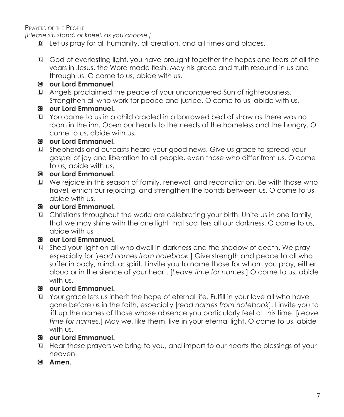Prayers of the People

*[Please sit, stand, or kneel, as you choose.]*

- D Let us pray for all humanity, all creation, and all times and places.
- L God of everlasting light, you have brought together the hopes and fears of all the years in Jesus, the Word made flesh. May his grace and truth resound in us and through us. O come to us, abide with us,

#### C **our Lord Emmanuel.**

L Angels proclaimed the peace of your unconquered Sun of righteousness. Strengthen all who work for peace and justice. O come to us, abide with us,

#### C **our Lord Emmanuel.**

L You came to us in a child cradled in a borrowed bed of straw as there was no room in the inn. Open our hearts to the needs of the homeless and the hungry. O come to us, abide with us,

#### C **our Lord Emmanuel.**

L Shepherds and outcasts heard your good news. Give us grace to spread your gospel of joy and liberation to all people, even those who differ from us. O come to us, abide with us,

#### C **our Lord Emmanuel.**

L We rejoice in this season of family, renewal, and reconciliation. Be with those who travel, enrich our rejoicing, and strengthen the bonds between us. O come to us, abide with us,

#### C **our Lord Emmanuel.**

L Christians throughout the world are celebrating your birth. Unite us in one family, that we may shine with the one light that scatters all our darkness. O come to us, abide with us,

#### C **our Lord Emmanuel.**

L Shed your light on all who dwell in darkness and the shadow of death. We pray especially for [*read names from notebook.*] Give strength and peace to all who suffer in body, mind, or spirit. I invite you to name those for whom you pray, either aloud or in the silence of your heart. [*Leave time for names*.] O come to us, abide with us.

#### C **our Lord Emmanuel.**

L Your grace lets us inherit the hope of eternal life. Fulfill in your love all who have gone before us in the faith, especially [*read names from notebook*]. I invite you to lift up the names of those whose absence you particularly feel at this time. [*Leave time for names.*] May we, like them, live in your eternal light. O come to us, abide with us,

#### C **our Lord Emmanuel.**

- L Hear these prayers we bring to you, and impart to our hearts the blessings of your heaven.
- C **Amen.**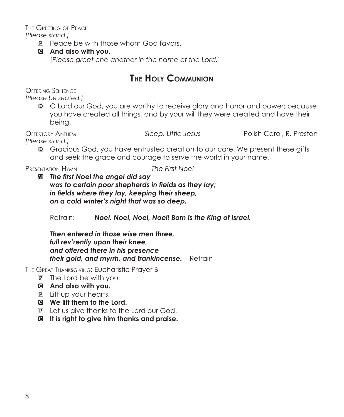THE GREETING OF PEACE *[Please stand.]*

- P Peace be with those whom God favors.
- C **And also with you.**
	- [*Please greet one another in the name of the Lord.*]

## **The Holy Communion**

Offering Sentence

*[Please be seated.]*

D O Lord our God, you are worthy to receive glory and honor and power; because you have created all things, and by your will they were created and have their being.

Offertory Anthem *Sleep, Little Jesus* Polish Carol, R. Preston

*[Please stand.]*

D Gracious God, you have entrusted creation to our care. We present these gifts and seek the grace and courage to serve the world in your name.

Presentation Hymn *The First Noel*

a *The first Noel the angel did say was to certain poor shepherds in fields as they lay; in fields where they lay, keeping their sheep, on a cold winter's night that was so deep.*

Refrain: *Noel, Noel, Noel, Noel! Born is the King of Israel.*

 *Then entered in those wise men three, full rev'rently upon their knee, and offered there in his presence their gold, and myrrh, and frankincense.* Refrain

The Great Thanksgiving: Eucharistic Prayer B

- P The Lord be with you.
- C **And also with you.**
- P Lift up your hearts.
- C **We lift them to the Lord.**
- P Let us give thanks to the Lord our God.
- C **It is right to give him thanks and praise.**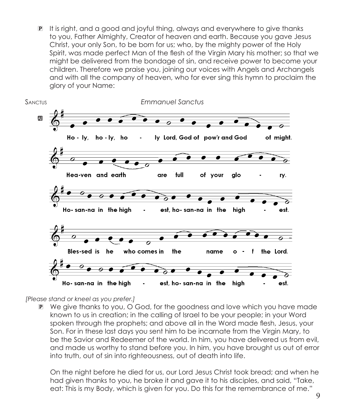P It is right, and a good and joyful thing, always and everywhere to give thanks to you, Father Almighty, Creator of heaven and earth. Because you gave Jesus Christ, your only Son, to be born for us; who, by the mighty power of the Holy Spirit, was made perfect Man of the flesh of the Virgin Mary his mother; so that we might be delivered from the bondage of sin, and receive power to become your children. Therefore we praise you, joining our voices with Angels and Archangels and with all the company of heaven, who for ever sing this hymn to proclaim the glory of your Name:



#### *[Please stand or kneel as you prefer.]*

P We give thanks to you, O God, for the goodness and love which you have made known to us in creation; in the calling of Israel to be your people; in your Word spoken through the prophets; and above all in the Word made flesh, Jesus, your Son. For in these last days you sent him to be incarnate from the Virgin Mary, to be the Savior and Redeemer of the world. In him, you have delivered us from evil, and made us worthy to stand before you. In him, you have brought us out of error into truth, out of sin into righteousness, out of death into life.

 On the night before he died for us, our Lord Jesus Christ took bread; and when he had given thanks to you, he broke it and gave it to his disciples, and said, "Take, eat: This is my Body, which is given for you. Do this for the remembrance of me."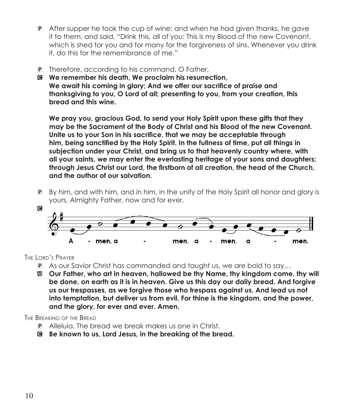- P After supper he took the cup of wine; and when he had given thanks, he gave it to them, and said, "Drink this, all of you: This is my Blood of the new Covenant, which is shed for you and for many for the forgiveness of sins. Whenever you drink it, do this for the remembrance of me."
- P Therefore, according to his command, O Father,
- C **We remember his death, We proclaim his resurrection, We await his coming in glory; And we offer our sacrifice of praise and thanksgiving to you, O Lord of all; presenting to you, from your creation, this bread and this wine.**

 **We pray you, gracious God, to send your Holy Spirit upon these gifts that they may be the Sacrament of the Body of Christ and his Blood of the new Covenant. Unite us to your Son in his sacrifice, that we may be acceptable through him, being sanctified by the Holy Spirit. In the fullness of time, put all things in subjection under your Christ, and bring us to that heavenly country where, with all your saints, we may enter the everlasting heritage of your sons and daughters; through Jesus Christ our Lord, the firstborn of all creation, the head of the Church, and the author of our salvation.**

P By him, and with him, and in him, in the unity of the Holy Spirit all honor and glory is yours, Almighty Father, now and for ever.



The Lord's Prayer

- P As our Savior Christ has commanded and taught us, we are bold to say…
- a **Our Father, who art in heaven, hallowed be thy Name, thy kingdom come, thy will be done, on earth as it is in heaven. Give us this day our daily bread. And forgive us our trespasses, as we forgive those who trespass against us. And lead us not into temptation, but deliver us from evil. For thine is the kingdom, and the power, and the glory, for ever and ever. Amen.**

The Breaking of the Bread

- P Alleluia. The bread we break makes us one in Christ.
- C **Be known to us, Lord Jesus, in the breaking of the bread.**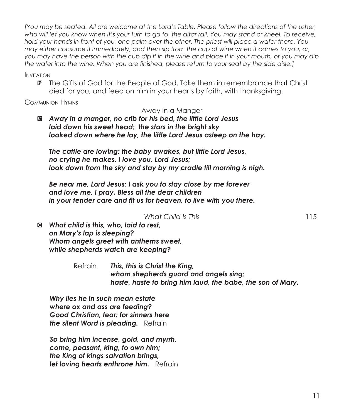*[You may be seated. All are welcome at the Lord's Table. Please follow the directions of the usher,*  who will let you know when it's your turn to go to the altar rail. You may stand or kneel. To receive, *hold your hands in front of you, one palm over the other. The priest will place a wafer there. You may either consume it immediately, and then sip from the cup of wine when it comes to you, or, you may have the person with the cup dip it in the wine and place it in your mouth, or you may dip the wafer into the wine. When you are finished, please return to your seat by the side aisle.]*

Invitation

P The Gifts of God for the People of God. Take them in remembrance that Christ died for you, and feed on him in your hearts by faith, with thanksgiving.

Communion Hymns

- Away in a Manger
- C *Away in a manger, no crib for his bed, the little Lord Jesus laid down his sweet head; the stars in the bright sky looked down where he lay, the little Lord Jesus asleep on the hay.*

 *The cattle are lowing; the baby awakes, but little Lord Jesus, no crying he makes. I love you, Lord Jesus; look down from the sky and stay by my cradle till morning is nigh.*

 *Be near me, Lord Jesus; I ask you to stay close by me forever and love me, I pray. Bless all the dear children in your tender care and fit us for heaven, to live with you there.*

#### *What Child Is This* 115

C *What child is this, who, laid to rest, on Mary's lap is sleeping? Whom angels greet with anthems sweet, while shepherds watch are keeping?*

> Refrain *This, this is Christ the King, whom shepherds guard and angels sing; haste, haste to bring him laud, the babe, the son of Mary.*

*Why lies he in such mean estate where ox and ass are feeding? Good Christian, fear: for sinners here the silent Word is pleading.* Refrain

*So bring him incense, gold, and myrrh, come, peasant, king, to own him; the King of kings salvation brings, let loving hearts enthrone him.* Refrain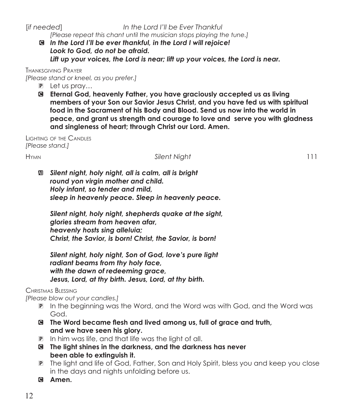*[Please repeat this chant until the musician stops playing the tune.]*

C *In the Lord I'll be ever thankful, in the Lord I will rejoice! Look to God, do not be afraid. Lift up your voices, the Lord is near; lift up your voices, the Lord is near.* 

Thanksgiving Prayer

*[Please stand or kneel, as you prefer.]*

- P Let us pray…
- C **Eternal God, heavenly Father, you have graciously accepted us as living members of your Son our Savior Jesus Christ, and you have fed us with spiritual food in the Sacrament of his Body and Blood. Send us now into the world in peace, and grant us strength and courage to love and serve you with gladness and singleness of heart; through Christ our Lord. Amen.**

Lighting of the Candles *[Please stand.]*

Hymn *Silent Night* 111

a *Silent night, holy night, all is calm, all is bright round yon virgin mother and child. Holy infant, so tender and mild, sleep in heavenly peace. Sleep in heavenly peace.*

 *Silent night, holy night, shepherds quake at the sight, glories stream from heaven afar, heavenly hosts sing alleluia; Christ, the Savior, is born! Christ, the Savior, is born!*

 *Silent night, holy night, Son of God, love's pure light radiant beams from thy holy face, with the dawn of redeeming grace, Jesus, Lord, at thy birth. Jesus, Lord, at thy birth.*

#### CHRISTMAS BLESSING

*[Please blow out your candles.]*

- P In the beginning was the Word, and the Word was with God, and the Word was God.
- C **The Word became flesh and lived among us, full of grace and truth, and we have seen his glory.**
- P In him was life, and that life was the light of all.
- C **The light shines in the darkness, and the darkness has never been able to extinguish it.**
- P The light and life of God, Father, Son and Holy Spirit, bless you and keep you close in the days and nights unfolding before us.
- C **Amen.**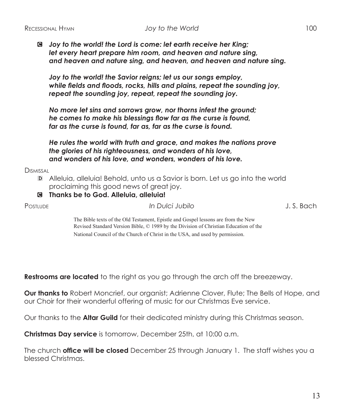C *Joy to the world! the Lord is come: let earth receive her King; let every heart prepare him room, and heaven and nature sing, and heaven and nature sing, and heaven, and heaven and nature sing.*

 *Joy to the world! the Savior reigns; let us our songs employ, while fields and floods, rocks, hills and plains, repeat the sounding joy, repeat the sounding joy, repeat, repeat the sounding joy.*

*No more let sins and sorrows grow, nor thorns infest the ground; he comes to make his blessings flow far as the curse is found, far as the curse is found, far as, far as the curse is found.*

 *He rules the world with truth and grace, and makes the nations prove the glories of his righteousness, and wonders of his love, and wonders of his love, and wonders, wonders of his love.*

#### Dismissal

- D Alleluia, alleluia! Behold, unto us a Savior is born. Let us go into the world proclaiming this good news of great joy.
- C **Thanks be to God. Alleluia, alleluia!**

Postlude *In Dulci Jubilo* J. S. Bach

The Bible texts of the Old Testament, Epistle and Gospel lessons are from the New Revised Standard Version Bible, © 1989 by the Division of Christian Education of the National Council of the Church of Christ in the USA, and used by permission.

**Restrooms are located** to the right as you go through the arch off the breezeway.

**Our thanks to** Robert Moncrief, our organist; Adrienne Clover, Flute; The Bells of Hope, and our Choir for their wonderful offering of music for our Christmas Eve service.

Our thanks to the **Altar Guild** for their dedicated ministry during this Christmas season.

**Christmas Day service** is tomorrow, December 25th, at 10:00 a.m.

The church **office will be closed** December 25 through January 1. The staff wishes you a blessed Christmas.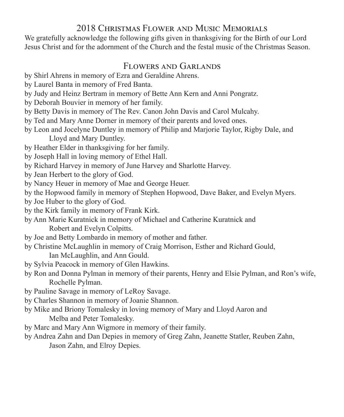### 2018 Christmas Flower and Music Memorials

We gratefully acknowledge the following gifts given in thanksgiving for the Birth of our Lord Jesus Christ and for the adornment of the Church and the festal music of the Christmas Season.

### Flowers and Garlands

- by Shirl Ahrens in memory of Ezra and Geraldine Ahrens.
- by Laurel Banta in memory of Fred Banta.
- by Judy and Heinz Bertram in memory of Bette Ann Kern and Anni Pongratz.
- by Deborah Bouvier in memory of her family.
- by Betty Davis in memory of The Rev. Canon John Davis and Carol Mulcahy.
- by Ted and Mary Anne Dorner in memory of their parents and loved ones.
- by Leon and Jocelyne Duntley in memory of Philip and Marjorie Taylor, Rigby Dale, and Lloyd and Mary Duntley.
- by Heather Elder in thanksgiving for her family.
- by Joseph Hall in loving memory of Ethel Hall.
- by Richard Harvey in memory of June Harvey and Sharlotte Harvey.
- by Jean Herbert to the glory of God.
- by Nancy Heuer in memory of Mae and George Heuer.
- by the Hopwood family in memory of Stephen Hopwood, Dave Baker, and Evelyn Myers.
- by Joe Huber to the glory of God.
- by the Kirk family in memory of Frank Kirk.
- by Ann Marie Kuratnick in memory of Michael and Catherine Kuratnick and Robert and Evelyn Colpitts.
- by Joe and Betty Lombardo in memory of mother and father.
- by Christine McLaughlin in memory of Craig Morrison, Esther and Richard Gould, Ian McLaughlin, and Ann Gould.
- by Sylvia Peacock in memory of Glen Hawkins.
- by Ron and Donna Pylman in memory of their parents, Henry and Elsie Pylman, and Ron's wife, Rochelle Pylman.
- by Pauline Savage in memory of LeRoy Savage.
- by Charles Shannon in memory of Joanie Shannon.
- by Mike and Briony Tomalesky in loving memory of Mary and Lloyd Aaron and Melba and Peter Tomalesky.
- by Marc and Mary Ann Wigmore in memory of their family.
- by Andrea Zahn and Dan Depies in memory of Greg Zahn, Jeanette Statler, Reuben Zahn, Jason Zahn, and Elroy Depies.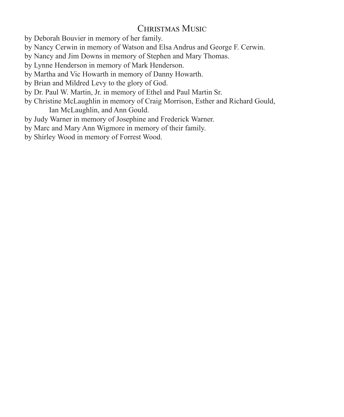### Christmas Music

- by Deborah Bouvier in memory of her family.
- by Nancy Cerwin in memory of Watson and Elsa Andrus and George F. Cerwin.
- by Nancy and Jim Downs in memory of Stephen and Mary Thomas.
- by Lynne Henderson in memory of Mark Henderson.
- by Martha and Vic Howarth in memory of Danny Howarth.
- by Brian and Mildred Levy to the glory of God.
- by Dr. Paul W. Martin, Jr. in memory of Ethel and Paul Martin Sr.
- by Christine McLaughlin in memory of Craig Morrison, Esther and Richard Gould, Ian McLaughlin, and Ann Gould.
- by Judy Warner in memory of Josephine and Frederick Warner.
- by Marc and Mary Ann Wigmore in memory of their family.
- by Shirley Wood in memory of Forrest Wood.